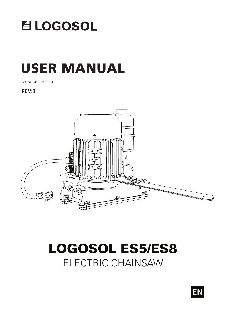

# USER MANUAL

Ref. no. 0458-395-0181

**REV:3**



# ELECTRIC CHAINSAW LOGOSOL ES5/ES8

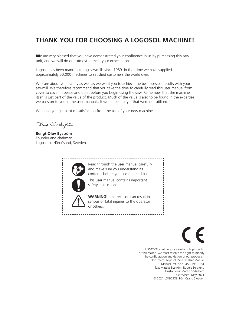### **THANK YOU FOR CHOOSING A LOGOSOL MACHINE!**

We are very pleased that you have demonstrated your confidence in us by purchasing this saw unit, and we will do our utmost to meet your expectations.

Logosol has been manufacturing sawmills since 1989. In that time we have supplied approximately 50,000 machines to satisfied customers the world over.

We care about your safety as well as we want you to achieve the best possible results with your sawmill. We therefore recommend that you take the time to carefully read this user manual from cover to cover in peace and quiet before you begin using the saw. Remember that the machine itself is just part of the value of the product. Much of the value is also to be found in the expertise we pass on to you in the user manuals. It would be a pity if that were not utilised.

We hope you get a lot of satisfaction from the use of your new machine.

Beyt-Olor Bystian

**Bengt-Olov Byström** Founder and chairman, Logosol in Härnösand, Sweden



LOGOSOL continuously develops its products. For this reason, we must reserve the right to modify the configuration and design of our products. Document: Logosol ES5/ES8 User Manual Manual, ref. no.: 0458-395-0181 Text:Mattias Byström, Robert Berglund Illustrations: Martin Söderberg Last revised: May 2021 © 2021 LOGOSOL, Härnösand Sweden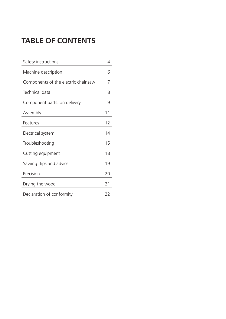### **TABLE OF CONTENTS**

| Safety instructions                 | 4  |
|-------------------------------------|----|
| Machine description                 | 6  |
| Components of the electric chainsaw | 7  |
| Technical data                      | 8  |
| Component parts: on delivery        | 9  |
| Assembly                            | 11 |
| Features                            | 12 |
| Electrical system                   | 14 |
| Troubleshooting                     | 15 |
| Cutting equipment                   | 18 |
| Sawing: tips and advice             | 19 |
| Precision                           | 20 |
| Drying the wood                     | 21 |
| Declaration of conformity           | 22 |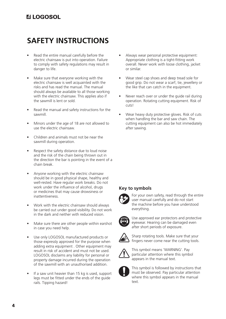### **SAFETY INSTRUCTIONS**

- Read the entire manual carefully before the electric chainsaw is put into operation. Failure to comply with safety regulations may result in danger to life.
- Make sure that everyone working with the electric chainsaw is well acquainted with the risks and has read the manual. The manual should always be available to all those working with the electric chainsaw. This applies also if the sawmill is lent or sold.
- Read the manual and safety instructions for the sawmill.
- Minors under the age of 18 are not allowed to use the electric chainsaw.
- Children and animals must not be near the sawmill during operation.
- Respect the safety distance due to loud noise and the risk of the chain being thrown out in the direction the bar is pointing in the event of a chain break.
- Anyone working with the electric chainsaw should be in good physical shape, healthy and well-rested. Have regular work breaks. Do not work under the influence of alcohol, drugs or medicines that may cause drowsiness or inattentiveness.
- Work with the electric chainsaw should always be carried out under good visibility. Do not work in the dark and neither with reduced vision.
- Make sure there are other people within earshot in case you need help.
- Use only LOGOSOL manufactured products or those expressly approved for the purpose when adding extra equipment . Other equipment may result in risk of accident and must not be used. LOGOSOL disclaims any liability for personal or property damage incurred during the operation of the sawmill with an unauthorised addition.
- If a saw unit heavier than 15 kg is used, support legs must be fitted under the ends of the guide rails. Tipping hazard!
- Always wear personal protective equipment: Appropriate clothing is a tight-fitting work overall. Never work with loose clothing, jacket or similar.
- Wear steel cap shoes and deep tread sole for good grip. Do not wear a scarf, tie, jewellery or the like that can catch in the equipment.
- Never reach over or under the guide rail during operation. Rotating cutting equipment. Risk of cuts!
- Wear heavy duty protective gloves. Risk of cuts when handling the bar and saw chain. The cutting equipment can also be hot immediately after sawing.

#### **Key to symbols**



For your own safety, read through the entire user manual carefully and do not start the machine before you have understood everything.



Use approved ear protectors and protective eyewear. Hearing can be damaged even after short periods of exposure.



Sharp rotating tools. Make sure that your fingers never come near the cutting tools.



This symbol means 'WARNING'. Pay particular attention where this symbol appears in the manual text.



This symbol is followed by instructions that must be observed. Pay particular attention where this symbol appears in the manual text.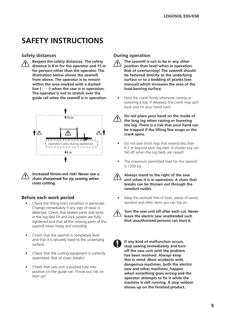### **SAFETY INSTRUCTIONS**

#### **Safety distances**



**Respect the safety distances. The safety distance is 8 m for the operator and 15 m for persons other than the operator. The illustration below shows the sawmill from above. The operator is to remain within the area marked with a dashed line (- - - -) when the saw is in operation. The operator is not to stretch over the guide rail when the sawmill is in operation.**





**Increased throw-out risk! Never use a chain sharpened for rip sawing when cross cutting.**

### **Before each work period**

- Check the lifting line's condition in particular. Change immediately if any sign of wear is detected. Check that bolted joints and locks in the log bed lift and lock system are fully tightened and that all the moving parts of the sawmill move freely and smoothly.
- Check that the sawmill is completely level and that it is securely fixed to the underlying surface.
- Check that the cutting equipment is correctly assembled. Risk of chain breaks!
- Check that saw unit is pushed fully into position on the guide rail. Throw-out risk on start up!

### **During operation**



• Hold the crank firmly whenever raising or lowering a log. If released, the crank may spin back and hit your hand hard.



**Do not place your hand on the inside of the long leg when raising or lowering the log. There is a risk that your hand can be trapped if the lifting line snaps or the crank spins.**

- Do not saw short logs that extend less than 0.2 m beyond each log bed. A shorter log can fall off when the log beds are raised!
- The maximum permitted load for the sawmill is 1200 kg.



**Always stand to the right of the saw unit when it is in operation. A chain that breaks can be thrown out through the sawdust outlet.**

Keep the worksite free of tools, pieces of wood, sawdust and other items you can trip on.



**Turn the saw unit off after each cut. Never leave the electric saw unattended such that unauthorized persons can start it.**

**If any kind of malfunction occurs, stop sawing immediately and turn off the saw unit until the problem has been resolved. Always keep this in mind. Most accidents with dangerous machines, both the electric saw and other machines, happen when something goes wrong and the operator attempts to fix it while the machine is still running. A stop seldom shows up on the finished product.**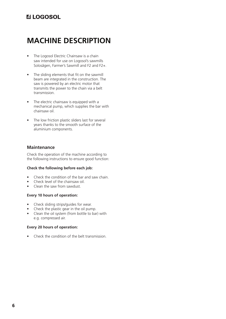### **MACHINE DESCRIPTION**

- The Logosol Electric Chainsaw is a chain saw intended for use on Logosol's sawmills Solosågen, Farmer's Sawmill and F2 and F2+.
- The sliding elements that fit on the sawmill beam are integrated in the construction. The saw is powered by an electric motor that transmits the power to the chain via a belt transmission.
- The electric chainsaw is equipped with a mechanical pump, which supplies the bar with chainsaw oil.
- The low friction plastic sliders last for several years thanks to the smooth surface of the aluminium components.

#### **Maintenance**

Check the operation of the machine according to the following instructions to ensure good function:

#### **Check the following before each job:**

- Check the condition of the bar and saw chain.
- Check level of the chainsaw oil.
- Clean the saw from sawdust.

#### **Every 10 hours of operation:**

- Check sliding strips/guides for wear.
- Check the plastic gear in the oil pump.
- Clean the oil system (from bottle to bar) with e.g. compressed air.

#### **Every 20 hours of operation:**

• Check the condition of the belt transmission.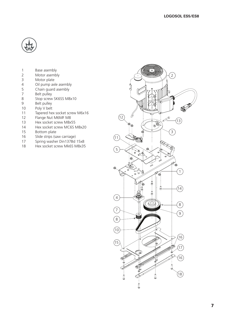

- 1 Base asembly<br>2 Motor asemb
- Motor asembly
- Motor plate
- 4 Oil pump axle asembly<br>5 Chain guard asembly
- Chain guard asembly
- 7 Belt pulley<br>8 Stop screw
- Stop screw SK6SS M8x10
- Belt pulley
- Poly V belt
- Tapered hex socket screw M6x16
- Flange Nut M6MF M8
- 13 Hex socket screw M8x55<br>14 Hex socket screw MC6S N
- Hex socket screw MC6S M8x20
- Bottom plate
- Slide strips (saw carriage)
- 17 Spring washer Din137Bd 15x8
- Hex socket screw Mk6S M8x35

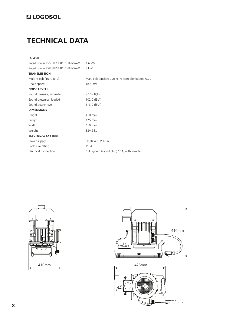### **TECHNICAL DATA**

| $\sim$ |  |  |
|--------|--|--|

| Rated power ES5 ELECTRIC CHAINSAW | 4.6 kW                                             |
|-----------------------------------|----------------------------------------------------|
| Rated power ES8 ELECTRIC CHAINSAW | 8 kW                                               |
| <b>TRANSMISSION</b>               |                                                    |
| Multi-V belt (10 PJ 610)          | Max. belt tension: 290 N, Percent elongation: 0.29 |
| Chain speed                       | $18.5 \, \text{m/s}$                               |
| <b>NOISE LEVELS</b>               |                                                    |
| Sound pressure, unloaded          | 97.0 dB(A)                                         |
| Sound pressures, loaded           | $102.0 \text{ dB}(A)$                              |
| Sound power level                 | 113.0 $dB(A)$                                      |
| <b>DIMENSIONS</b>                 |                                                    |
| Height                            | 410 mm                                             |
| Length                            | 425 mm                                             |
| Width                             | 410 mm                                             |
| Weight                            | 38/42 kg                                           |
| <b>ELECTRICAL SYSTEM</b>          |                                                    |
| Power supply                      | 50 Hz 400 V 16 A                                   |
| Enclosure rating                  | <b>IP 54</b>                                       |
| Electrical connection             | CEE system (round plug) 16A, with inverter         |
|                                   |                                                    |





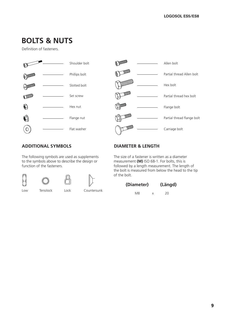### **BOLTS & NUTS**

Definition of fasteners.





### **ADDITIONAL SYMBOLS**

The following symbols are used as supplements to the symbols above to describe the design or function of the fasteners.



### **DIAMETER & LENGTH**

The size of a fastener is written as a diameter measurement **(M)** ISO 68-1. For bolts, this is followed by a length measurement. The length of the bolt is measured from below the head to the tip of the bolt.

| (Diameter) | (Längd) |    |
|------------|---------|----|
| M8         | x       | 20 |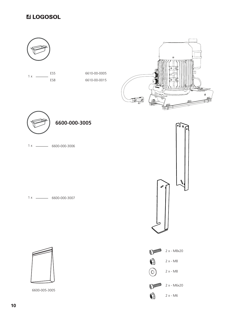### **ULOGOSOL**

ES5 ES8  $1 x \_$ 

6610-00-0005 6610-00-0015





6600-000-3006 1 x

6600-000-3007 1 x



6600-005-3005





2 x - M6

 $\bullet$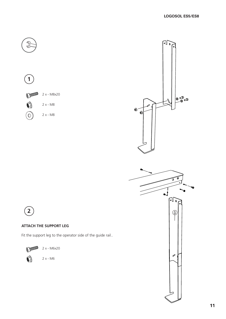030

心。





#### **ATTACH THE SUPPORT LEG**

Fit the support leg to the operator side of the guide rail..



2 x - M6x20

2 x - M6

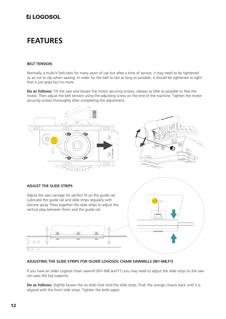### **FEATURES**

#### **BELT TENSION**

Normally, a multi-V belt lasts for many years of use but after a time of service, it may need to be tightened so as not to slip when sawing. In order for the belt to last as long as possible, it should be tightened so tight that it just grips but no more.

**Do as follows:** Tilt the saw and loosen the motor securing screws, release as little as possible to free the motor. Then adjust the belt tension using the adjusting screw on the end of the machine. Tighten the motor securing screws thoroughly after completing the adjustment.



#### **ADJUSTING THE SLIDE STRIPS FOR OLDER LOGOSOL CHAIN SAWMILLS (M1-M8,F1)**

If you have an older Logosol chain sawmill (M1-M8 and F1) you may need to adjust the slide strips so the saw can pass the log supports.

**Do as follows:** Slightly loosen the six bolts that hold the slide strips. Push the orange chassis back until it is aligned with the front slide strips. Tighten the bolts again.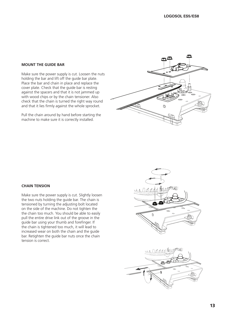#### **MOUNT THE GUIDE BAR**

Make sure the power supply is cut. Loosen the nuts holding the bar and lift off the guide bar plate. Place the bar and chain in place and replace the cover plate. Check that the guide bar is resting against the spacers and that it is not jammed up with wood chips or by the chain tensioner. Also check that the chain is turned the right way round and that it lies firmly against the whole sprocket.

Pull the chain around by hand before starting the machine to make sure it is correctly installed.



#### **CHAIN TENSION**

Make sure the power supply is cut. Slightly loosen the two nuts holding the guide bar. The chain is tensioned by turning the adjusting bolt located on the side of the machine. Do not tighten the the chain too much. You should be able to easily pull the entire drive link out of the groove in the guide bar using your thumb and forefinger. If the chain is tightened too much, it will lead to increased wear on both the chain and the guide bar. Retighten the guide bar nuts once the chain tension is correct.

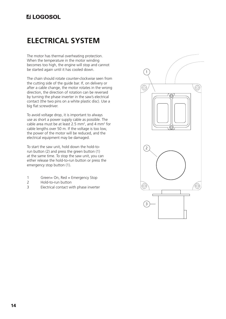### **ELECTRICAL SYSTEM**

The motor has thermal overheating protection. When the temperature in the motor winding becomes too high, the engine will stop and cannot be started again until it has cooled down.

The chain should rotate counter-clockwise seen from the cutting side of the guide bar. If, on delivery or after a cable change, the motor rotates in the wrong direction, the direction of rotation can be reversed by turning the phase inverter in the saw's electrical contact (the two pins on a white plastic disc). Use a big flat screwdriver.

To avoid voltage drop, it is important to always use as short a power supply cable as possible. The cable area must be at least 2.5 mm<sup>2</sup>, and 4 mm<sup>2</sup> for cable lengths over 50 m. If the voltage is too low, the power of the motor will be reduced, and the electrical equipment may be damaged.

To start the saw unit, hold down the hold-torun button (2) and press the green button (1) at the same time. To stop the saw unit, you can either release the hold-to-run button or press the emergency stop button (1).

- 1 Green= On, Red = Emergency Stop
- 2 Hold-to-run button
- 3 Electrical contact with phase inverter

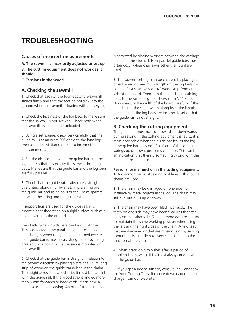### **TROUBLESHOOTING**

#### **Causes of incorrect measurements**

**A. The sawmill is incorrectly adjusted or set-up.**

**B. The cutting equipment does not work as it should.**

**C. Tensions in the wood.**

#### **A. Checking the sawmill**

**1.** Check that each of the four legs of the sawmill stands firmly and that the feet do not sink into the ground when the sawmill is loaded with a heavy log.

**2.** Check the levelness of the log beds to make sure that the sawmill is not skewed. Check both when the sawmills is loaded and unloaded.

**3.** Using a set square, check very carefully that the guide rail is at an exact 90° angle to the long legs. even a small deviation can lead to incorrect timber measurements.

**4.** Set the distance between the guide bar and the log beds so that it is exactly the same at both log beds. Make sure that the guide bar and the log beds are fully parallel.

**5.** Check that the guide rail is absolutely straight by sighting along it, or by stretching a string over the guide rail and using nails or the like as spacers between the string and the guide rail.

If support legs are used for the guide rail, it is essential that they stand on a rigid surface such as a pole driven into the ground.

Even factory-new guide bars can be out of true. This is detected if the parallel relation to the log bed changes when the guide bar is turned over. A bent guide bar is most easily straightened by being pressed up or down while the saw is mounted on the sawmill.

**6.** Check that the guide bar is straight in relation to the sawing direction by placing a straight 1.5 m long strip of wood on the guide bar (without the chain). Then sight across the wood strip. It must be parallel with the guide rail. If the wood strip is angled more than 5 mm forwards or backwards, it can have a negative effect on sawing. An out of true guide bar

is corrected by placing washers between the carriage plate and the slide rail. Non-parallel guide bars most often occur when chainsaws other than Stihl are used.

**7.** The sawmill settings can be checked by placing a broad board of maximum length on the log beds for edging. First saw away a 1⁄4" wood strip from one side of the board. Then turn the board, set both log beds to the same height and saw off a 1⁄4" strip. Now measure the width of the board carefully. If the board is not the same width along its entire length, it means that the log beds are incorrectly set or that the guide rail is not straight.

#### **B. Checking the cutting equipment**

The guide bar must not cut upwards or downwards during sawing. If the cutting equipment is faulty, it is most noticeable when the guide bar leaves the log. If the guide bar does not 'float' out of the log but springs up or down, problems can arise. This can be an indication that there is something wrong with the guide bar or the chain.

#### **Reasons for malfunction in the cutting equipment:**

**1.** A common cause of sawing problems is that blunt chains are used.

**2.** The chain may be damaged on one side, for instance by metal objects in the log. The chain may still cut, but pulls up or down.

**3.** The chain may have been filed incorrectly. The teeth on one side may have been filed less than the ones on the other side. To get a more even result, try to maintain the same working position when filing the left and the right sides of the chain. A few teeth that are damaged or that are missing, e.g. by sawing through nails, usually have very small effect on the function of the chain.

**4.** When precision diminishes after a period of problem-free sawing, it is almost always due to wear on the guide bar.

**5.** If you get a ridged surface, consult The Handbook for Your Cutting Tools. It can be downloaded free of charge from our web site.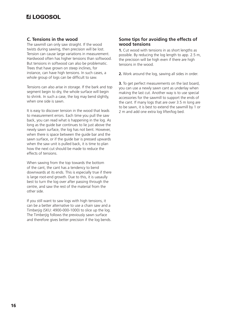#### **C. Tensions in the wood**

The sawmill can only saw straight. If the wood twists during sawing, then precision will be lost. Tension can cause large variations in measurement. Hardwood often has higher tensions than softwood. But tensions in softwood can also be problematic. Trees that have grown on steep inclines, for instance, can have high tensions. In such cases, a whole group of logs can be difficult to saw.

Tensions can also arise in storage. If the bark and top segment begin to dry, the whole surface will begin to shrink. In such a case, the log may bend slightly, when one side is sawn.

It is easy to discover tension in the wood that leads to measurement errors. Each time you pull the saw back, you can read what is happening in the log. As long as the guide bar continues to lie just above the newly sawn surface, the log has not bent. However, when there is space between the guide bar and the sawn surface, or if the guide bar is pressed upwards when the saw unit is pulled back, it is time to plan how the next cut should be made to reduce the effects of tensions.

When sawing from the top towards the bottom of the cant, the cant has a tendency to bend downwards at its ends. This is especially true if there is large root-end growth. Due to this, it is uasaully best to turn the log over after passing through the centre, and saw the rest of the material from the other side.

If you still want to saw logs with high tensions, it can be a better alternative to use a chain saw and a Timberjig (SKU: 4900-000-1000) to slice up the log. The Timberija follows the previously sawn surface and therefore gives better precision if the log bends.

#### **Some tips for avoiding the effects of wood tensions**

**1.** Cut wood with tensions in as short lengths as possible. By reducing the log length to app. 2.5 m, the precision will be high even if there are high tensions in the wood.

**2.** Work around the log, sawing all sides in order.

**3.** To get perfect measurements on the last board, you can use a newly sawn cant as underlay when making the last cut. Another way is to use special accessories for the sawmill to support the ends of the cant. If many logs that are over 3.5 m long are to be sawn, it is best to extend the sawmill by 1 or 2 m and add one extra log lifter/log bed.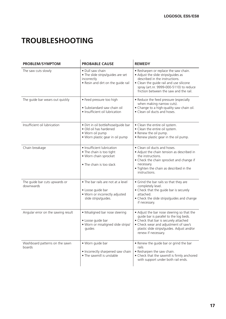### **TROUBLESHOOTING**

| <b>PROBLEM/SYMPTOM</b>                     | <b>PROBABLE CAUSE</b>                                                                                               | <b>REMEDY</b>                                                                                                                                                                                                                                  |
|--------------------------------------------|---------------------------------------------------------------------------------------------------------------------|------------------------------------------------------------------------------------------------------------------------------------------------------------------------------------------------------------------------------------------------|
| The saw cuts slowly                        | · Dull saw chain<br>• The slide strips/guides are set<br>incorrectly<br>. Resin and dirt on the guide rail          | • Resharpen or replace the saw chain.<br>• Adjust the slide strips/guides as<br>described in the instructions.<br>• Clean the guide rail and use silicone<br>spray (art.nr. 9999-000-5110) to reduce<br>friction between the saw and the rail. |
| The guide bar wears out quickly            | • Feed pressure too high<br>· Substandard saw chain oil<br>· Insufficient oil lubrication                           | • Reduce the feed pressure (especially<br>when making narrow cuts).<br>• Change to a high-quality saw chain oil.<br>• Clean oil ducts and hoses.                                                                                               |
| Insufficient oil lubrication               | · Dirt in oil bottle/hose/guide bar<br>• Old oil has hardened<br>· Worn oil pump<br>· Worn plastic gear in oil pump | • Clean the entire oil system.<br>• Clean the entire oil system.<br>• Renew the oil pump.<br>. Renew plastic gear in the oil pump.                                                                                                             |
| Chain breakage                             | · Insufficient lubrication<br>• The chain is too tight<br>· Worn chain sprocket<br>• The chain is too slack         | • Clean oil ducts and hoses.<br>• Adjust the chain tension as described in<br>the instructions.<br>• Check the chain sprocket and change if<br>necessary.<br>. Tighten the chain as described in the<br>instructions.                          |
| The guide bar cuts upwards or<br>downwards | • The bar rails are not at a level<br>• Loose guide bar<br>. Worn or incorrectly adjusted<br>slide strips/guides.   | • Grind the bar rails so that they are<br>completely level.<br>• Check that the guide bar is securely<br>attached.<br>• Check the slide strips/guides and change<br>if necessary.                                                              |
| Angular error on the sawing result         | • Misaligned bar nose steering<br>· Loose guide bar<br>. Worn or misaligned slide strips/<br>quides                 | • Adjust the bar nose steering so that the<br>guide bar is parallel to the log beds.<br>• Check that bar is securely attached<br>• Check wear and adjustment of saw's<br>plastic slide strips/guides. Adjust and/or<br>renew if necessary.     |
| Washboard patterns on the sawn<br>boards   | · Worn guide bar<br>• Incorrectly sharpened saw chain<br>• The sawmill is unstable                                  | . Renew the guide bar or grind the bar<br>rails<br>• Resharpen the saw chain.<br>• Check that the sawmill is firmly anchored<br>with support under both rail ends.                                                                             |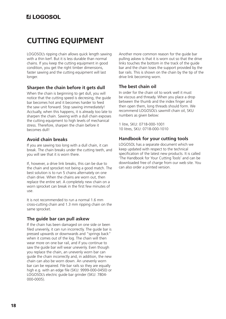### **CUTTING EQUIPMENT**

LOGOSOL's ripping chain allows quick length sawing with a thin kerf. But it is less durable than normal chains. If you keep the cutting equipment in good condition, you get the right timber dimensions, faster sawing and the cutting equipment will last longer.

### **Sharpen the chain before it gets dull**

When the chain is beginning to get dull, you will notice that the cutting speed is decresing, the guide bar becomes hot and it becomes harder to feed the saw unit forward. Stop sawing immediately! Acctually, when this happens, it is already too late to sharpen the chain. Sawing with a dull chain exposes the cutting equipment to high levels of mechanical stress. Therefore, sharpen the chain before it becomes dull!

### **Avoid chain breaks**

If you are sawing too long with a dull chain, it can break. The chain breaks under the cutting teeth, and you will see that it is worn there.

If, however, a drive link breaks, this can be due to the chain and sprocket not being a good match. The best solution is to run 5 chains alternately on one chain drive. When the chains are worn out, then replace the entire set. A completely new chain on a worn sprocket can break in the first few minutes of use.

It is not recommended to run a normal 1.6 mm cross-cutting chain and 1.3 mm ripping chain on the same sprocket.

### **The guide bar can pull askew**

If the chain has been damaged on one side or been filed unevenly, it can run incorrectly. The guide bar is pressed upwards or downwards and "springs back" when it comes out of the log. The chain will then wear more on one bar rail, and if you continue to saw the guide bar will wear unevenly. Even though you replace the chain, an unevenly worn bar can guide the chain incorrectly and, in addition, the new chain can also be worn down. An unevenly worn bar can be repaired. File bar rails so they are equally high e.g. with an edge file (SKU: 9999-000-0450) or LOGOSOL's electric guide bar grinder (SKU: 7804- 000-0005).

Another more common reason for the guide bar pulling askew is that it is worn out so that the drive links touches the bottom in the track of the guide bar and the chain loses the support provided by the bar rails. This is shown on the chain by the tip of the drive link becoming worn.

### **The best chain oil**

In order for the chain oil to work well it must be viscous and thready. When you place a drop between the thumb and the index finger and then open them, long threads should form. We recommend LOGOSOL's sawmill chain oil, SKU numbers as given below:

1 litre, SKU: 0718-000-1001 10 litres, SKU: 0718-000-1010

### **Handbook for your cutting tools**

LOGOSOL has a separate document which we keep updated with respect to the technical specification of the latest new products. It is called 'The Handbook for Your Cutting Tools' and can be downloaded free of charge from our web site. You can also order a printed version.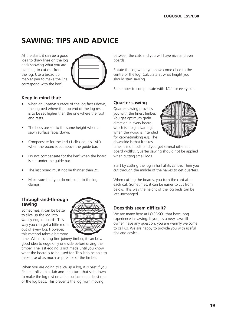### **SAWING: TIPS AND ADVICE**

At the start, it can be a good idea to draw lines on the log ends showing what you are planning to cut out from the log. Use a broad tip marker pen to make the line correspond with the kerf.



#### **Keep in mind that:**

- when an unsawn surface of the log faces down, the log bed where the top end of the log rests is to be set higher than the one where the root end rests.
- The beds are set to the same height when a sawn surface faces down.
- Compensate for the kerf (1 click equals 1/4'') when the board is cut above the guide bar.
- Do not compensate for the kerf when the board is cut under the guide bar.
- The last board must not be thinner than 2".
- Make sure that you do not cut into the log clamps.

#### **Through-and-through sawing**

Sometimes, it can be better to slice up the log into waney-edged boards. This way you can get a little more out of every log. However, this method takes a bit more



time. When cutting fine joinery timber, it can be a good idea to edge only one side before drying the timber. The last edging is not made until you know what the board is to be used for. This is to be able to make use of as much as possible of the timber.

When you are going to slice up a log, it is best if you first cut off a thin slab and then turn that side down to make the log rest on a flat surface on at least one of the log beds. This prevents the log from moving

between the cuts and you will have nice and even boards.

Rotate the log when you have come close to the centre of the log. Calculate at what height you should start sawing.

Remember to compensate with 1/4'' for every cut.

#### **Quarter sawing**

Quarter sawing provides you with the finest timber. You get optimum grain direction in every board, which is a big advantage when the wood is intended for cabinetmaking e.g. The downside is that it takes



time, it is difficult, and you get several different board widths. Quarter sawing should not be applied when cutting small logs.

Start by cutting the log in half at its centre. Then you cut through the middle of the halves to get quarters.

When cutting the boards, you turn the cant after each cut. Sometimes, it can be easier to cut from below. This way the height of the log beds can be left unchanged.

#### **Does this seem difficult?**

We are many here at LOGOSOL that have long experience in sawing. If you, as a new sawmill owner, have any question, you are warmly welcome to call us. We are happy to provide you with useful tips and advice.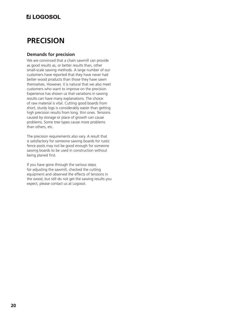### **PRECISION**

#### **Demands for precision**

We are convinced that a chain sawmill can provide as good results as, or better results than, other small-scale sawing methods. A large number of our customers have reported that they have never had better wood products than those they have sawn themselves. However, it is natural that we also meet customers who want to improve on the precision. Experience has shown us that variations in sawing results can have many explanations. The choice of raw material is vital. Cutting good boards from short, sturdy logs is considerably easier than getting high precision results from long, thin ones. Tensions caused by storage or place of growth can cause problems. Some tree types cause more problems than others, etc.

The precision requirements also vary. A result that is satisfactory for someone sawing boards for rustic fence posts may not be good enough for someone sawing boards to be used in construction without being planed first.

If you have gone through the various steps for adjusting the sawmill, checked the cutting equipment and observed the effects of tensions in the wood, but still do not get the sawing results you expect, please contact us at Logosol.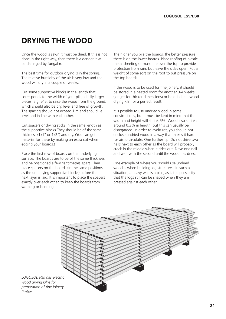### **DRYING THE WOOD**

Once the wood is sawn it must be dried. If this is not done in the right way, then there is a danger it will be damaged by fungal rot.

The best time for outdoor drying is in the spring. The relative humidity of the air is very low and the wood will dry in a couple of weeks.

Cut some supportive blocks in the length that corresponds to the width of your pile, ideally larger pieces, e.g. 5''5, to raise the wood from the ground, which should also be dry, level and free of growth. The spacing should not exceed 1 m and should lie level and in line with each other.

Cut spacers or drying sticks in the same length as the supportive blocks.They should be of the same thickness (1x1'' or 1x2'') and dry. (You can get material for these by making an extra cut when edging your boards.)

Place the first row of boards on the underlying surface. The boards are to be of the same thickness and be positioned a few centimetres apart. Then place spacers on the boards (in the same positions as the underlying supportive blocks) before the next layer is laid. It is important to place the spacers exactly over each other, to keep the boards from warping or bending.

The higher you pile the boards, the better pressure there is on the lower boards. Place roofing of plastic, metal sheeting or masonite over the top to provide protection from rain, but leave the sides open. Put a weight of some sort on the roof to put pressure on the top boards.

If the wood is to be used for fine joinery, it should be stored in a heated room for another 3-4 weeks (longer for thicker dimensions) or be dried in a wood drying kiln for a perfect result.

It is possible to use undried wood in some constructions, but it must be kept in mind that the width and height will shrink 5%. Wood also shrinks around 0.3% in length, but this can usually be disregarded. In order to avoid rot, you should not enclose undried wood in a way that makes it hard for air to circulate. One further tip: Do not drive two nails next to each other as the board will probably crack in the middle when it dries out. Drive one nail and wait with the second until the wood has dried.

One example of where you should use undried wood is when building log structures. In such a situation, a heavy wall is a plus, as is the possibility that the logs still can be shaped when they are pressed against each other.



*LOGOSOL also has electric wood drying kilns for preparation of fine joinery timber.*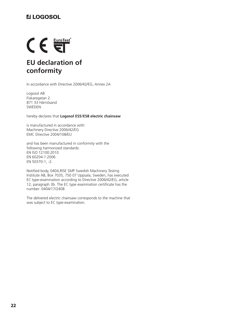## $\epsilon \in \mathbb{R}$ **EU declaration of conformity**

In accordance with Directive 2006/42/EG, Annex 2A

Logosol AB Fiskaregatan 2 871 33 Härnösand SWEDEN

hereby declares that **Logosol ES5/ES8 electric chainsaw**

is manufactured in accordance with: Machinery Directive 2006/42/EG EMC Directive 2004/108/EU

and has been manufactured in conformity with the following harmonized standards: EN ISO 12100:2010 EN 60204-1:2006 EN 50370-1, -2.

Notified body, 0404,RISE SMP Swedish Machinery Testing Institute AB, Box 7035, 750 07 Uppsala, Sweden, has executed EC type-examination according to Directive 2006/42/EG, article 12, paragraph 3b. The EC type examination certificate has the number: 0404/17/2408

The delivered electric chainsaw corresponds to the machine that was subject to EC type-examination.